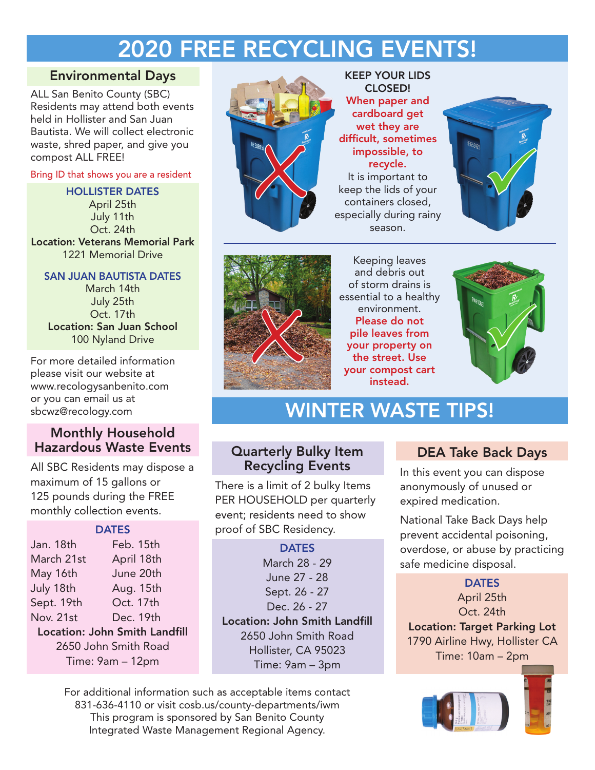# 2020 FREE RECYCLING EVENTS!

# Environmental Days

ALL San Benito County (SBC) Residents may attend both events held in Hollister and San Juan Bautista. We will collect electronic waste, shred paper, and give you compost ALL FREE!

Bring ID that shows you are a resident

#### HOLLISTER DATES

April 25th July 11th Oct. 24th Location: Veterans Memorial Park 1221 Memorial Drive

#### SAN JUAN BAUTISTA DATES

March 14th July 25th Oct. 17th Location: San Juan School 100 Nyland Drive

For more detailed information please visit our website at www.recologysanbenito.com or you can email us at sbcwz@recology.com

# Monthly Household Hazardous Waste Events

All SBC Residents may dispose a maximum of 15 gallons or 125 pounds during the FREE monthly collection events.

| <b>DATES</b>                  |            |
|-------------------------------|------------|
| Jan. 18th                     | Feb. 15th  |
| March 21st                    | April 18th |
| May 16th                      | June 20th  |
| July 18th                     | Aug. 15th  |
| Sept. 19th                    | Oct. 17th  |
| Nov. 21st                     | Dec. 19th  |
| Location: John Smith Landfill |            |
| 2650 John Smith Road          |            |
| Time: 9am - 12pm              |            |



KEEP YOUR LIDS CLOSED! When paper and cardboard get wet they are difficult, sometimes impossible, to recycle. It is important to keep the lids of your containers closed, especially during rainy season. impossible, to<br>
recycle.<br>
It is important to<br>
keep the lids of your<br>
containers closed,<br>
especially during rainy





Keeping leaves and debris out of storm drains is essential to a healthy environment. Please do not pile leaves from your property on the street. Use your compost cart instead. Experiment.<br>
Please do not<br>
pile leaves from<br>
your property on<br>
the street. Use<br>
your compost cart<br>
instead



# WINTER WASTE TIPS!

# Quarterly Bulky Item Recycling Events

There is a limit of 2 bulky Items PER HOUSEHOLD per quarterly event; residents need to show proof of SBC Residency.

### **DATES** March 28 - 29 June 27 - 28 Sept. 26 - 27 Dec. 26 - 27 Location: John Smith Landfill 2650 John Smith Road Hollister, CA 95023 Time: 9am – 3pm

For additional information such as acceptable items contact 831-636-4110 or visit cosb.us/county-departments/iwm This program is sponsored by San Benito County Integrated Waste Management Regional Agency.

# DEA Take Back Days

In this event you can dispose anonymously of unused or expired medication.

National Take Back Days help prevent accidental poisoning, overdose, or abuse by practicing safe medicine disposal.

### **DATES** April 25th Oct. 24th Location: Target Parking Lot 1790 Airline Hwy, Hollister CA Time: 10am – 2pm